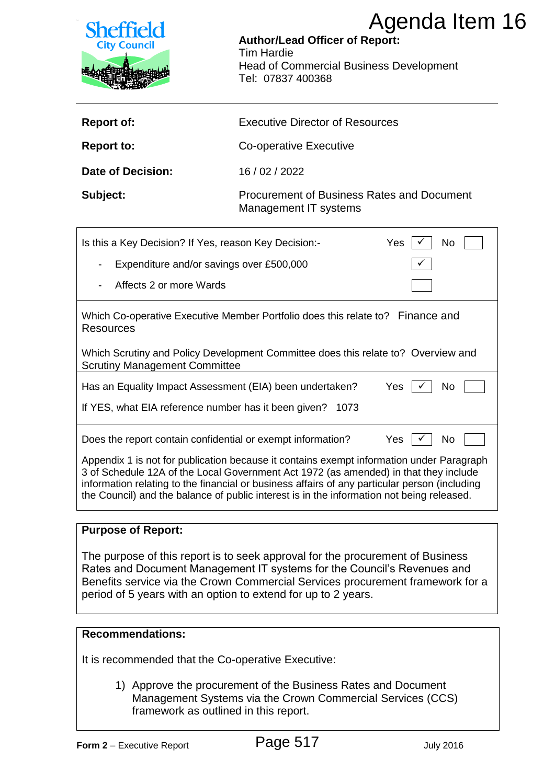

| <b>Report of:</b> | <b>Executive Director of Resources</b>                              |  |
|-------------------|---------------------------------------------------------------------|--|
| <b>Report to:</b> | Co-operative Executive                                              |  |
| Date of Decision: | 16/02/2022                                                          |  |
| Subject:          | Procurement of Business Rates and Document<br>Management IT systems |  |
|                   |                                                                     |  |

| <b>Sheffield</b><br><b>City Council</b>               | <b>Tim Hardie</b>                                                                                                                                                                                                                                                                                                                                                              | Agenda Item 16<br><b>Author/Lead Officer of Report:</b> |  |
|-------------------------------------------------------|--------------------------------------------------------------------------------------------------------------------------------------------------------------------------------------------------------------------------------------------------------------------------------------------------------------------------------------------------------------------------------|---------------------------------------------------------|--|
|                                                       | <b>Head of Commercial Business Development</b><br>Tel: 07837 400368                                                                                                                                                                                                                                                                                                            |                                                         |  |
| <b>Report of:</b>                                     | <b>Executive Director of Resources</b>                                                                                                                                                                                                                                                                                                                                         |                                                         |  |
| <b>Report to:</b>                                     | <b>Co-operative Executive</b>                                                                                                                                                                                                                                                                                                                                                  |                                                         |  |
| <b>Date of Decision:</b>                              | 16 / 02 / 2022                                                                                                                                                                                                                                                                                                                                                                 |                                                         |  |
| Subject:                                              | <b>Procurement of Business Rates and Document</b><br>Management IT systems                                                                                                                                                                                                                                                                                                     |                                                         |  |
| Is this a Key Decision? If Yes, reason Key Decision:- |                                                                                                                                                                                                                                                                                                                                                                                | Yes<br><b>No</b>                                        |  |
| Expenditure and/or savings over £500,000              |                                                                                                                                                                                                                                                                                                                                                                                |                                                         |  |
|                                                       | Affects 2 or more Wards                                                                                                                                                                                                                                                                                                                                                        |                                                         |  |
| <b>Resources</b>                                      | Which Co-operative Executive Member Portfolio does this relate to? Finance and                                                                                                                                                                                                                                                                                                 |                                                         |  |
| <b>Scrutiny Management Committee</b>                  | Which Scrutiny and Policy Development Committee does this relate to? Overview and                                                                                                                                                                                                                                                                                              |                                                         |  |
|                                                       | Has an Equality Impact Assessment (EIA) been undertaken?                                                                                                                                                                                                                                                                                                                       | Yes<br>No                                               |  |
|                                                       | If YES, what EIA reference number has it been given? 1073                                                                                                                                                                                                                                                                                                                      |                                                         |  |
|                                                       | Does the report contain confidential or exempt information?                                                                                                                                                                                                                                                                                                                    | Yes<br>No                                               |  |
|                                                       | Appendix 1 is not for publication because it contains exempt information under Paragraph<br>3 of Schedule 12A of the Local Government Act 1972 (as amended) in that they include<br>information relating to the financial or business affairs of any particular person (including<br>the Council) and the balance of public interest is in the information not being released. |                                                         |  |
| <b>Purpose of Report:</b>                             |                                                                                                                                                                                                                                                                                                                                                                                |                                                         |  |
|                                                       | The purpose of this report is to seek approval for the procurement of Business<br>Rates and Document Management IT systems for the Council's Revenues and<br>Benefits service via the Crown Commercial Services procurement framework for a<br>period of 5 years with an option to extend for up to 2 years.                                                                   |                                                         |  |
| <b>Recommendations:</b>                               |                                                                                                                                                                                                                                                                                                                                                                                |                                                         |  |
| It is recommended that the Co-operative Executive:    |                                                                                                                                                                                                                                                                                                                                                                                |                                                         |  |
|                                                       | 1) Approve the procurement of the Business Rates and Document<br>Management Systems via the Crown Commercial Services (CCS)<br>framework as outlined in this report.                                                                                                                                                                                                           |                                                         |  |
| Form 2 - Executive Report                             | Page 517                                                                                                                                                                                                                                                                                                                                                                       | <b>July 2016</b>                                        |  |

## **Purpose of Report:**

#### **Recommendations:**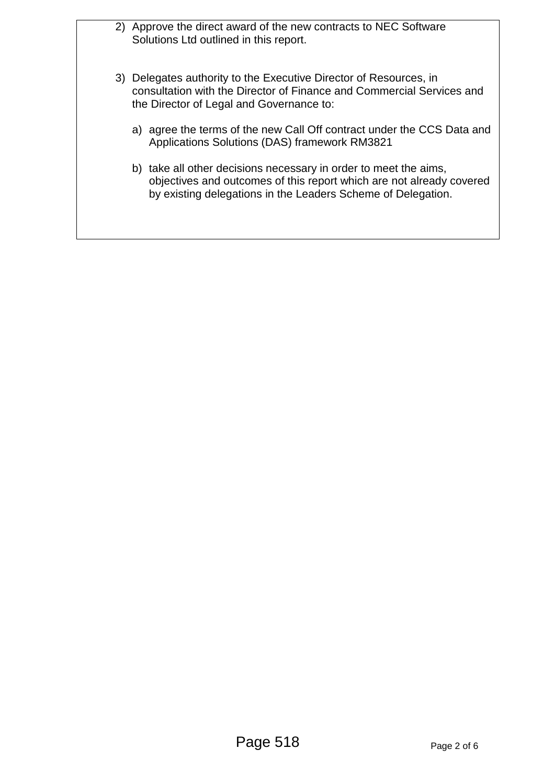| 2) Approve the direct award of the new contracts to NEC Software<br>Solutions Ltd outlined in this report.                                                                                               |
|----------------------------------------------------------------------------------------------------------------------------------------------------------------------------------------------------------|
| 3) Delegates authority to the Executive Director of Resources, in<br>consultation with the Director of Finance and Commercial Services and<br>the Director of Legal and Governance to:                   |
| a) agree the terms of the new Call Off contract under the CCS Data and<br><b>Applications Solutions (DAS) framework RM3821</b>                                                                           |
| b) take all other decisions necessary in order to meet the aims,<br>objectives and outcomes of this report which are not already covered<br>by existing delegations in the Leaders Scheme of Delegation. |
|                                                                                                                                                                                                          |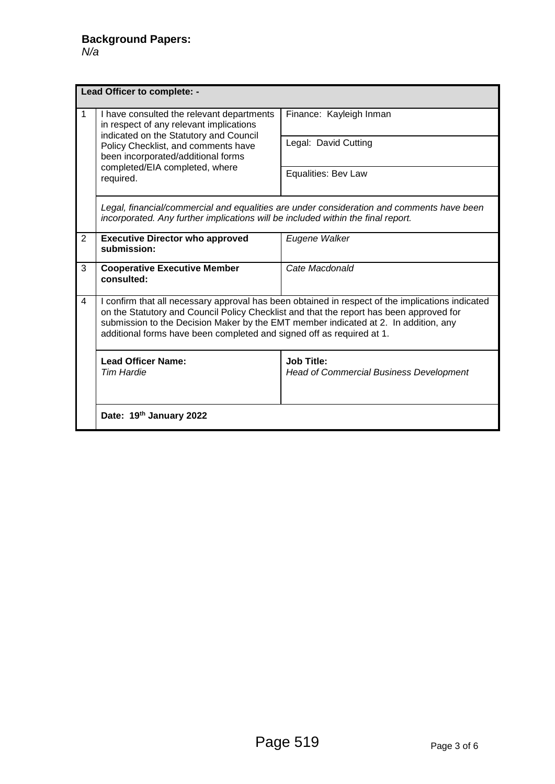*N/a*

| Lead Officer to complete: - |                                                                                                                                                                                                                                                                                                                                                             |                                                                     |  |
|-----------------------------|-------------------------------------------------------------------------------------------------------------------------------------------------------------------------------------------------------------------------------------------------------------------------------------------------------------------------------------------------------------|---------------------------------------------------------------------|--|
| $\mathbf 1$                 | I have consulted the relevant departments<br>in respect of any relevant implications<br>indicated on the Statutory and Council<br>Policy Checklist, and comments have<br>been incorporated/additional forms<br>completed/EIA completed, where<br>required.                                                                                                  | Finance: Kayleigh Inman                                             |  |
|                             |                                                                                                                                                                                                                                                                                                                                                             | Legal: David Cutting                                                |  |
|                             |                                                                                                                                                                                                                                                                                                                                                             | Equalities: Bev Law                                                 |  |
|                             | Legal, financial/commercial and equalities are under consideration and comments have been<br>incorporated. Any further implications will be included within the final report.                                                                                                                                                                               |                                                                     |  |
| $\overline{2}$              | <b>Executive Director who approved</b><br>submission:                                                                                                                                                                                                                                                                                                       | Eugene Walker                                                       |  |
| 3                           | <b>Cooperative Executive Member</b><br>consulted:                                                                                                                                                                                                                                                                                                           | Cate Macdonald                                                      |  |
| 4                           | I confirm that all necessary approval has been obtained in respect of the implications indicated<br>on the Statutory and Council Policy Checklist and that the report has been approved for<br>submission to the Decision Maker by the EMT member indicated at 2. In addition, any<br>additional forms have been completed and signed off as required at 1. |                                                                     |  |
|                             | <b>Lead Officer Name:</b><br><b>Tim Hardie</b>                                                                                                                                                                                                                                                                                                              | <b>Job Title:</b><br><b>Head of Commercial Business Development</b> |  |
|                             | Date: 19th January 2022                                                                                                                                                                                                                                                                                                                                     |                                                                     |  |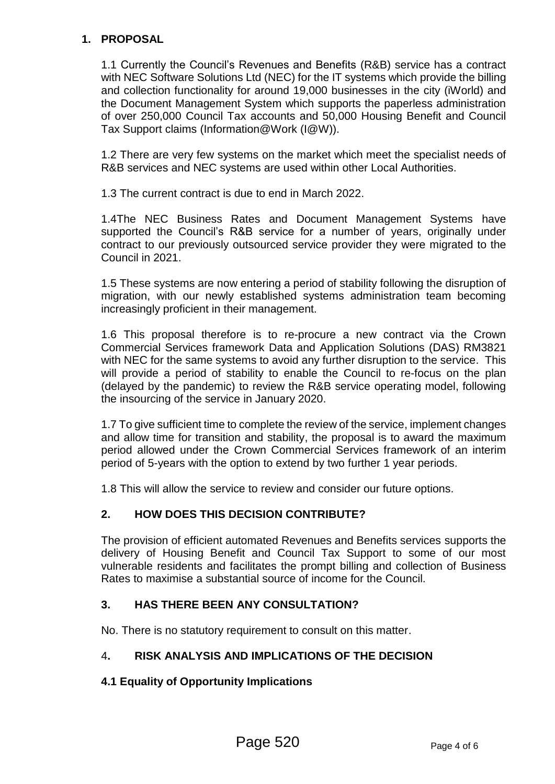# **1. PROPOSAL**

1.1 Currently the Council's Revenues and Benefits (R&B) service has a contract with NEC Software Solutions Ltd (NEC) for the IT systems which provide the billing and collection functionality for around 19,000 businesses in the city (iWorld) and the Document Management System which supports the paperless administration of over 250,000 Council Tax accounts and 50,000 Housing Benefit and Council Tax Support claims (Information@Work (I@W)).

1.2 There are very few systems on the market which meet the specialist needs of R&B services and NEC systems are used within other Local Authorities.

1.3 The current contract is due to end in March 2022.

1.4The NEC Business Rates and Document Management Systems have supported the Council's R&B service for a number of years, originally under contract to our previously outsourced service provider they were migrated to the Council in 2021.

1.5 These systems are now entering a period of stability following the disruption of migration, with our newly established systems administration team becoming increasingly proficient in their management.

1.6 This proposal therefore is to re-procure a new contract via the Crown Commercial Services framework Data and Application Solutions (DAS) RM3821 with NEC for the same systems to avoid any further disruption to the service. This will provide a period of stability to enable the Council to re-focus on the plan (delayed by the pandemic) to review the R&B service operating model, following the insourcing of the service in January 2020.

1.7 To give sufficient time to complete the review of the service, implement changes and allow time for transition and stability, the proposal is to award the maximum period allowed under the Crown Commercial Services framework of an interim period of 5-years with the option to extend by two further 1 year periods.

1.8 This will allow the service to review and consider our future options.

## **2. HOW DOES THIS DECISION CONTRIBUTE?**

The provision of efficient automated Revenues and Benefits services supports the delivery of Housing Benefit and Council Tax Support to some of our most vulnerable residents and facilitates the prompt billing and collection of Business Rates to maximise a substantial source of income for the Council.

## **3. HAS THERE BEEN ANY CONSULTATION?**

No. There is no statutory requirement to consult on this matter.

# 4**. RISK ANALYSIS AND IMPLICATIONS OF THE DECISION**

## **4.1 Equality of Opportunity Implications**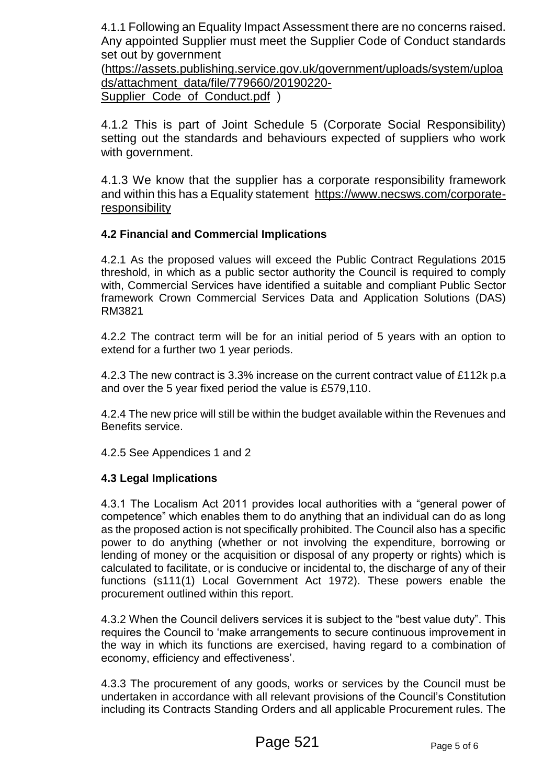4.1.1 Following an Equality Impact Assessment there are no concerns raised. Any appointed Supplier must meet the Supplier Code of Conduct standards set out by government

[\(https://assets.publishing.service.gov.uk/government/uploads/system/uploa](https://assets.publishing.service.gov.uk/government/uploads/system/uploads/attachment_data/file/779660/20190220-Supplier_Code_of_Conduct.pdf) [ds/attachment\\_data/file/779660/20190220-](https://assets.publishing.service.gov.uk/government/uploads/system/uploads/attachment_data/file/779660/20190220-Supplier_Code_of_Conduct.pdf) Supplier Code of Conduct.pdf )

4.1.2 This is part of Joint Schedule 5 (Corporate Social Responsibility) setting out the standards and behaviours expected of suppliers who work with government.

4.1.3 We know that the supplier has a corporate responsibility framework and within this has a Equality statement [https://www.necsws.com/corporate](https://www.necsws.com/corporate-responsibility)[responsibility](https://www.necsws.com/corporate-responsibility)

# **4.2 Financial and Commercial Implications**

4.2.1 As the proposed values will exceed the Public Contract Regulations 2015 threshold, in which as a public sector authority the Council is required to comply with, Commercial Services have identified a suitable and compliant Public Sector framework Crown Commercial Services Data and Application Solutions (DAS) RM3821

4.2.2 The contract term will be for an initial period of 5 years with an option to extend for a further two 1 year periods.

4.2.3 The new contract is 3.3% increase on the current contract value of £112k p.a and over the 5 year fixed period the value is £579,110.

4.2.4 The new price will still be within the budget available within the Revenues and Benefits service.

4.2.5 See Appendices 1 and 2

# **4.3 Legal Implications**

4.3.1 The Localism Act 2011 provides local authorities with a "general power of competence" which enables them to do anything that an individual can do as long as the proposed action is not specifically prohibited. The Council also has a specific power to do anything (whether or not involving the expenditure, borrowing or lending of money or the acquisition or disposal of any property or rights) which is calculated to facilitate, or is conducive or incidental to, the discharge of any of their functions (s111(1) Local Government Act 1972). These powers enable the procurement outlined within this report.

4.3.2 When the Council delivers services it is subject to the "best value duty". This requires the Council to 'make arrangements to secure continuous improvement in the way in which its functions are exercised, having regard to a combination of economy, efficiency and effectiveness'.

4.3.3 The procurement of any goods, works or services by the Council must be undertaken in accordance with all relevant provisions of the Council's Constitution including its Contracts Standing Orders and all applicable Procurement rules. The